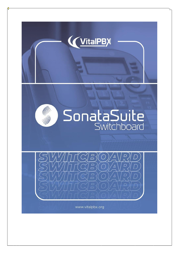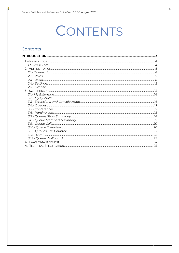# CONTENTS

#### Contents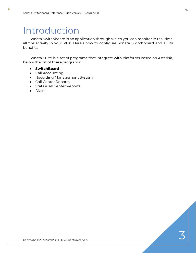# Introduction

Sonata Switchboard is an application through which you can monitor in real time all the activity in your PBX. Here's how to configure Sonata Switchboard and all its benefits.

Sonata Suite is a set of programs that integrate with platforms based on Asterisk, below the list of these programs:

- **SwitchBoard**
- Call Accounting
- Recording Management System
- Call Center Reports
- Stats (Call Center Reports)
- Dialer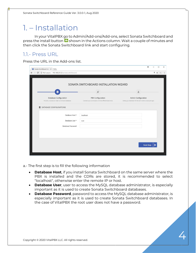### 1. – Installation

In your VitalPBX go to Admin/Add-ons/Add-ons, select Sonata Switchboard and press the install button  $\bullet$  shown in the Actions column. Wait a couple of minutes and then click the Sonata Switchboard link and start configuring.

#### 1.1.- Press URL

Press the URL in the Add-ons list.

|                                                                                     | SONATA SWITCHBOARD INSTALLATION WIZARD                                             |                                                                                     |
|-------------------------------------------------------------------------------------|------------------------------------------------------------------------------------|-------------------------------------------------------------------------------------|
| ≡                                                                                   | $\leq$                                                                             | ø                                                                                   |
| <b>Database Configuration</b><br>Provide us access to install Switchboard database. | <b>PBX Configuration</b><br>Connect your switchboard with the different back-ends. | Admin Configuration<br>Setting up credentials for the administrative account login. |
| DATABASE CONFIGURATIONS                                                             |                                                                                    |                                                                                     |
| Database Host *                                                                     | localhost                                                                          |                                                                                     |
| Database User *                                                                     | root                                                                               |                                                                                     |
| Database Password                                                                   |                                                                                    |                                                                                     |
|                                                                                     |                                                                                    |                                                                                     |

a.- The first step is to fill the following information

- **Database Host**, if you install Sonata Switchboard on the same server where the PBX is installed and the CDRs are stored, it is recommended to select "localhost", otherwise enter the remote IP or host.
- **Database User**, user to access the MySQL database administrator, is especially important as it is used to create Sonata Switchboard databases.
- **Database Password**, password to access the MySQL database administrator, is especially important as it is used to create Sonata Switchboard databases. In the case of VitalPBX the root user does not have a password.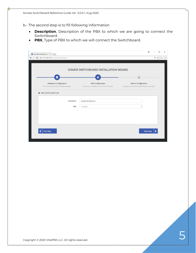b.- The second step is to fill following information

- **Description**, Description of the PBX to which we are going to connect the Switchboard.
- **PBX**, Type of PBX to which we will connect the Switchboard.

| Sonata Switchboard Insta X                                                       |                                                        | A                                                            | $\Box$ | $\times$      |
|----------------------------------------------------------------------------------|--------------------------------------------------------|--------------------------------------------------------------|--------|---------------|
| 192.168.25.12/sonata/switchboard/<br>$\mathcal{C}$<br>$\leftarrow$ $\rightarrow$ |                                                        | ♥ ☆                                                          | ℭ      | $\frac{1}{2}$ |
|                                                                                  |                                                        |                                                              |        |               |
|                                                                                  | SONATA SWITCHBOARD INSTALLATION WIZARD                 |                                                              |        |               |
|                                                                                  |                                                        |                                                              |        |               |
| €                                                                                |                                                        | 2                                                            |        |               |
| <b>Database Configuration</b>                                                    | <b>PBX Configuration</b>                               | Admin Configuration                                          |        |               |
| Provide us access to install Switchboard database.                               | Connect your switchboard with the different back-ends. | Setting up credentials for the administrative account login. |        |               |
| PBX CONFIGURATION                                                                |                                                        |                                                              |        |               |
|                                                                                  |                                                        |                                                              |        |               |
| Description                                                                      | Sonata Switchboard                                     |                                                              |        |               |
| PBX                                                                              | Ombutel                                                | ٠                                                            |        |               |
|                                                                                  |                                                        |                                                              |        |               |
|                                                                                  |                                                        |                                                              |        |               |
|                                                                                  |                                                        |                                                              |        |               |
|                                                                                  |                                                        |                                                              |        |               |
| Prev Step                                                                        |                                                        | <b>Next Step</b>                                             |        |               |
|                                                                                  |                                                        |                                                              |        |               |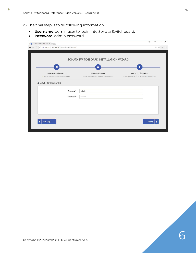c.- The final step is to fill following information

- **Username**, admin user to login into Sonata Switchboard.
- **Password**, admin password.

| ≋                                                                                   |                                                                                    |                                                                                            |
|-------------------------------------------------------------------------------------|------------------------------------------------------------------------------------|--------------------------------------------------------------------------------------------|
| <b>Database Configuration</b><br>Provide us access to install Switchboard database. | <b>PBX Configuration</b><br>Connect your switchboard with the different back-ends. | <b>Admin Configuration</b><br>Setting up credentials for the administrative account login. |
| Username*<br>Password *                                                             | admin<br>                                                                          |                                                                                            |
|                                                                                     |                                                                                    |                                                                                            |
|                                                                                     |                                                                                    |                                                                                            |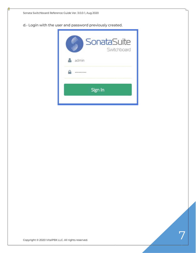d.- Login with the user and password previously created.

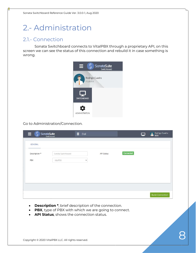### 2.- Administration

#### 2.1.- Connection

Sonata Switchboard connects to VitalPBX through a proprietary API, on this screen we can see the status of this connection and rebuild it in case something is wrong.



Go to Administration/Connection.

| $\equiv$<br>مي<br>س<br>SonataSuite | Switchboard        | <b>ii</b> Dial |                   |           | ⋤ | Rodrigo Cuadra          |
|------------------------------------|--------------------|----------------|-------------------|-----------|---|-------------------------|
| <b>GENERAL</b>                     |                    |                |                   |           |   |                         |
| Description *                      | Sonata Switchboard |                | <b>API Status</b> | Connected |   |                         |
| PBX                                | VitalPBX           | $\checkmark$   |                   |           |   |                         |
|                                    |                    |                |                   |           |   |                         |
|                                    |                    |                |                   |           |   |                         |
|                                    |                    |                |                   |           |   |                         |
|                                    |                    |                |                   |           |   |                         |
|                                    |                    |                |                   |           |   |                         |
|                                    |                    |                |                   |           |   | <b>Build Connection</b> |

- **Description \***, brief description of the connection.
- **PBX**, type of PBX with which we are going to connect.
- **API Status**, shows the connection status.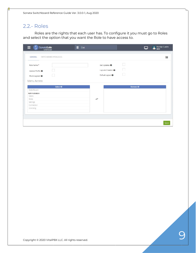#### 2.2.- Roles

Roles are the rights that each user has. To configure it you must go to Roles and select the option that you want the Role to have access to.

| SonataSuite<br>Switchboard                                              | H<br>Dial            |                                                                                               |                   | Rodrigo Cuadra |
|-------------------------------------------------------------------------|----------------------|-----------------------------------------------------------------------------------------------|-------------------|----------------|
| <b>GENERAL</b><br>SWITCHBOARD PRIVILEGES                                |                      |                                                                                               |                   | 這              |
| Role Name*<br>Update Profile <sup>O</sup><br>Share Layouts <sup>O</sup> |                      | Get Updates <sup>O</sup><br>Layouts Creation <sup>8</sup><br>E<br>Default Layout <sup>@</sup> |                   |                |
| Menu Access<br><b>Select All</b>                                        |                      |                                                                                               | <b>Remove All</b> |                |
| Switchboard<br>Administration<br>Users<br>Roles                         | $\rightleftharpoons$ |                                                                                               |                   |                |
| Settings<br>Connection<br>Licensing                                     |                      |                                                                                               |                   |                |
|                                                                         |                      |                                                                                               |                   | Save           |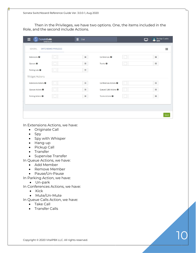Then in the Privileges, we have two options. One, the items included in the Role, and the second include Actions.

| SonataSuite                     | Switchboard            | H<br>Dial |                                   |  | Rodrigo Cuadra |
|---------------------------------|------------------------|-----------|-----------------------------------|--|----------------|
| GENERAL                         | SWITCHBOARD PRIVILEGES |           |                                   |  | 洼              |
| Extensions <sup>@</sup>         |                        | $\equiv$  | Conferences <sup>O</sup>          |  | Ξ              |
| Queues <sup><sup>O</sup></sup>  |                        | $\equiv$  | Trunks <sup>O</sup>               |  | $\equiv$       |
| Parking Lots <sup>O</sup>       |                        | $\equiv$  |                                   |  |                |
| <b>Widget Actions</b>           |                        |           |                                   |  |                |
| Extensions Actions <sup>@</sup> |                        | $\equiv$  | Conferences Actions <sup>O</sup>  |  | 洼              |
| Queues Actions <sup>O</sup>     |                        | $\equiv$  | Queued Calls Actions <sup>O</sup> |  | $\equiv$       |
| Parking Actions <sup>O</sup>    |                        | $\equiv$  | Trunks Actions <sup>O</sup>       |  | 三              |
|                                 |                        |           |                                   |  |                |
|                                 |                        |           |                                   |  |                |
|                                 |                        |           |                                   |  | Save           |

In Extensions Actions, we have:

- Originate Call
- Spy
- Spy with Whisper
- Hang-up
- Pickup Call
- Transfer
- Supervise Transfer

In Queue Actions, we have:

- Add Member
- Remove Member
- Pause/Un-Pause

In Parking Action, we have:

• Un-park

In Conferences Actions, we have:

- Kick
- Mute/Un-Mute
- In Queue Calls Action, we have:
	- Take Call
	- Transfer Calls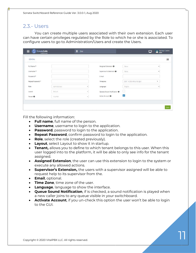#### 2.3.- Users

You can create multiple users associated with their own extension. Each user can have certain privileges regulated by the Role to which he or she is associated. To configure users to go to Administration/Users and create the Users.

| GENERAL             |               |              |                                        |                            |              |
|---------------------|---------------|--------------|----------------------------------------|----------------------------|--------------|
| Full Name*          |               |              | Assigned Extension <sup>@</sup>        | None                       | Ý.           |
| Username *          |               |              | Supervisor's Extension <sup>O</sup>    | None                       | $\checkmark$ |
| Password *          |               |              | E-mail                                 |                            |              |
| Repeat Password *   |               |              | Timezone                               | (GMT +0:00) Africa/Abidjan | ۰            |
| Role                | Administrator | $\checkmark$ | Language                               | English                    | $\checkmark$ |
| Layout              | Default       | $\checkmark$ | Queues Sound Notification <sup>@</sup> | b.                         |              |
| Tenant <sup>@</sup> | VitalPBX      | $\sim$       | Active Account @                       | $\checkmark$               |              |

Fill the following information:

- **Full name**, full name of the person.
- **Username**, username to login to the application.
- **Password**, password to login to the application.
- **Repeat Password**, confirm password to login to the application.
- **Role**, select the role (created previously).
- **Layout**, select Layout to show it in startup.
- **Tenant,** allows you to define to which tenant belongs to this user. When this user logged into to the platform, it will be able to only see info for the tenant assigned.
- **Assigned Extension**, the user can use this extension to login to the system or execute any allowed actions.
- **Supervisor's Extension,** the users with a supervisor assigned will be able to request help to its supervisor from the.
- **Email**, optional.
- **Time Zone**, time zone of the user.
- **Language**, language to show the interface.
- **Queue Sound Notification**, if is checked, a sound notification is played when a new caller joins to any queue visible in your switchboard.
- **Activate Account**, if you un-check this option the user won't be able to login to the GUI.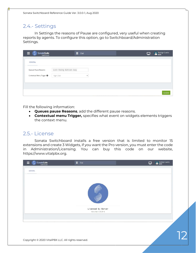#### 2.4.- Settings

In Settings the reasons of Pause are configured, very useful when creating reports by agents. To configure this option, go to Switchboard/Administration Settings.

| —<br><b>SonataSuite</b><br>Switchboard | Ħ.<br>Dial                  |                    |  | Rodrigo Cuadra<br>8255 |
|----------------------------------------|-----------------------------|--------------------|--|------------------------|
| GENERAL                                |                             |                    |  |                        |
| Queues Pause Reasons                   | Lunch Meeting Bathroom Away |                    |  |                        |
| Contextual Menu Trigger <sup>O</sup>   | Right Click                 | $\checkmark$       |  |                        |
|                                        |                             |                    |  |                        |
|                                        |                             |                    |  |                        |
|                                        |                             | <b>The Company</b> |  |                        |

Fill the following information:

- **Queues pause Reasons**, add the different pause reasons.
- **Contextual menu Trigger,** specifies what event on widgets elements triggers the context menu.

#### 2.5.- License

Sonata Switchboard installs a free version that is limited to monitor 15 extensions and create 3 Widgets, if you want the Pro version, you must enter the code in Administration/Licensing. You can buy this code on our website, https://www.vitalpbx.org.



Copyright © 2020 VitalPBX LLC. All rights reserved.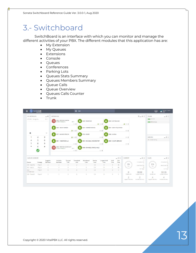### 3.- Switchboard

SwitchBoard is an interface with which you can monitor and manage the different activities of your PBX. The different modules that this application has are:

- My Extension
- My Queues
- Extensions
- Console
- Queues
- Conferences
- Parking Lots
- Queues Stats Summary
- Queues Members Summary
- Queue Calls
- Queue Overview
- Queues Calls Counter
- Trunk

| MY EXTENSION                             |                | $-4$                | <b>EXTENSIONS</b>      |                             |                    |                               |                  |                      |                     |                          |                | $9 - 41$                   | TRUNK                 | $-40.03$                                                  |
|------------------------------------------|----------------|---------------------|------------------------|-----------------------------|--------------------|-------------------------------|------------------|----------------------|---------------------|--------------------------|----------------|----------------------------|-----------------------|-----------------------------------------------------------|
| $C$ <sup>+</sup> 8355 - Rodrigo Cu       |                | 0031                | 8255 - RODRIGO CUADRA  |                             |                    |                               |                  |                      |                     |                          |                |                            | <b>ENGINEERING</b>    |                                                           |
|                                          |                |                     | (* 8355 - Rodrigo Cu.  |                             | $-0011$<br>tion #  | 8250 - RECEPCION              |                  | & mo E               | B253 - CONTABILIDAD |                          | Ar Dio E       |                            | <b>ESC Honduras</b>   |                                                           |
|                                          |                |                     | 8260 - OSCAR ROMERO    |                             |                    | 8264 - RUMMER MORAGA          |                  |                      |                     | B267 - CABINA TELEFONICA |                |                            |                       |                                                           |
|                                          |                |                     |                        |                             | $2$ min $1$        |                               |                  | DND #                |                     |                          | DAD            |                            |                       |                                                           |
| 曲                                        |                | $\leftarrow$        | 8271 - MAYNOR PERALTA  |                             |                    | 8274 - ROGER                  |                  |                      | 8299 - ALARMA       |                          |                |                            |                       |                                                           |
|                                          | $\overline{2}$ | $\overline{3}$      |                        |                             | Artisto 1          |                               |                  | DED 1                |                     |                          | DND !          |                            | <b>DARKING</b>        | $ +$ $\Omega$                                             |
| 4                                        | 5              | 6                   | 8601 - YASSIER BONILLA |                             |                    | 8604-EMANUEL LYONS DESKTOP    |                  |                      |                     | 8303 - VIOLETA MERCADO   |                |                            | 700 - Dellaut Parking |                                                           |
| $\overline{7}$                           | 8              | $\overline{9}$      |                        |                             | <b>DRD</b>         |                               |                  | DND-                 |                     |                          | bein #         |                            |                       |                                                           |
| is.                                      | $\circ$        | $#$                 |                        |                             |                    |                               |                  |                      |                     |                          |                |                            |                       |                                                           |
|                                          |                |                     |                        | 8355 - RODRIGO CLIADRA WIFI |                    |                               |                  |                      |                     |                          |                |                            |                       |                                                           |
|                                          |                |                     | (1 8255 - Rodrigo Cu.) |                             | 0011.<br>DHD 1     | 8608 - EMANUEL LYONS-EL VALLE |                  | <b>Did E</b>         |                     |                          |                |                            |                       |                                                           |
|                                          |                |                     |                        |                             |                    |                               |                  |                      |                     |                          |                |                            |                       |                                                           |
|                                          |                |                     |                        |                             |                    |                               |                  |                      |                     | $= 4:2$                  | SUPPORT        | $-0.1$                     | SALES                 |                                                           |
|                                          | Strategy       | Loggedin<br>Members | Available<br>Members   | Queued<br>Calls             | Completed<br>Calls | Abandoned<br>Calls            | Service<br>Level | Longest Hold<br>Time | Hold<br>Time        | Talk<br>Time             |                | 2<br>Completed Calls       |                       |                                                           |
| QUEUES SUMMARY<br>Queue<br>300 - Soporte | Ring All       | $\overline{2}$      | ž                      | $\circ$                     | $\overline{2}$     |                               | 0.0              | $\circ$              | 9                   | 36                       | 0%             | Abandoned Calls            | <b>O%</b>             | $= 0$ $\Omega$<br>Completed Calls<br>Ð<br>Abandoned Calls |
| 301 - Ventas                             | Ring All       | 4                   | ñ.                     | x,                          |                    | $\overline{0}$                | 0.0              | $\mathcal{D}$        | 3                   | 89                       | 5.8            | $\circ$                    | 红人                    | Ð                                                         |
| $302 -$<br>Contabilidad                  | Ring All       | $\mathbb{O}$        | O.                     | $\circ$                     | $\alpha$           | Ō.                            | 00               | o                    | n.                  | ö.                       | 0              | SLA Targett                |                       | <b>SLATIFIED</b>                                          |
| SOO - Telesoft                           | Ring All       | $\bar{z}$           | $\mathbb{Z}$           | $\circ$                     | 0                  | 0:                            | 0.0              | 0                    | 0                   | $\circ$                  | Watting Califa | 00:00<br>Longest Hold Call | 0<br>Waring Calif.    | 00:00<br>Longest Hold Call                                |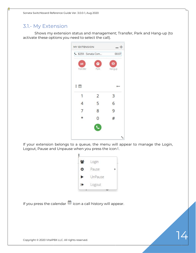#### 3.1.- My Extension

Shows my extension status and management; Transfer, Park and Hang-up (to activate these options you need to select the call).



If your extension belongs to a queue, the menu will appear to manage the Login, Logout, Pause and Unpause when you press the icon .



If you press the calendar  $\stackrel{\text{iii}}{\text{m}}$  icon a call history will appear.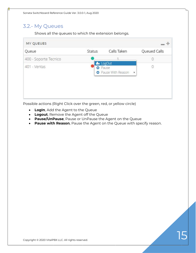#### 3.2.- My Queues

Shows all the queues to which the extension belongs.

| MY QUEUES             |               |                                                           |                |
|-----------------------|---------------|-----------------------------------------------------------|----------------|
| Queue                 | <b>Status</b> | Calls Taken                                               | Queued Calls   |
| 400 - Soporte Tecnico |               |                                                           | 0              |
| 401 - Ventas          |               | &x LogOut<br><b>O</b> Pause<br><b>O</b> Pause With Reason | 0<br>$\bullet$ |
|                       |               |                                                           |                |
|                       |               |                                                           |                |
|                       |               |                                                           |                |

Possible actions (Right Click over the green, red, or yellow circle)

- **LogIn**, Add the Agent to the Queue
- **Logout**, Remove the Agent off the Queue
- **Pause/UnPause**, Pause or UnPause the Agent on the Queue
- **Pause with Reason**, Pause the Agent on the Queue with specify reason.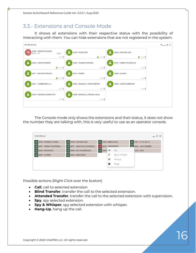### 3.3.- Extensions and Console Mode

It shows all extensions with their respective status with the possibility of interacting with them. You can hide extensions that are not registered in the system.

| <b>EXTENSIONS</b>                               |                                    |                               |                          |        | $Q = \oplus \Box$ |
|-------------------------------------------------|------------------------------------|-------------------------------|--------------------------|--------|-------------------|
| 8255 - RODRIGO CUADRA<br>⊕<br>$C^{4}$ *71 - *71 | 00:04                              | 8250 - RECEPCION              | 8253 - CONTABILIDAD      |        |                   |
|                                                 | DND:                               | $\sim$ DND :                  |                          | & DND! |                   |
| 8260 - OSCAR ROMERO                             |                                    | 8264 - RUMMER MORAGA          | 8267 - CABINA TELEFONICA |        |                   |
|                                                 | $2$ DND:                           | DND:                          |                          | DND :  |                   |
| 8271 - MAYNOR PERALTA                           |                                    | 8274 - ROGER                  | 8299 - ALARMA            |        |                   |
|                                                 | $\blacktriangleright$ DND $\vdash$ | DND:                          |                          | DND:   |                   |
| 8601 - YASSIER BONILLA                          | ₽                                  | 8604 - EMANUEL LYONS DESKTOP  | 8303 - VIOLETA MERCADO   |        |                   |
|                                                 | DND:                               | DND:                          |                          | DND:   |                   |
| 8355 - RODRIGO CUADRA WIFI                      |                                    | 8608 - EMANUEL LYONS-EL VALLE |                          |        |                   |
|                                                 | DND:                               | DND :                         |                          |        |                   |

The Console mode only shows the extensions and their status, it does not show the number they are talking with, this is very useful to use as an operator console.

| <b>CONSOLA</b>                   |                            |                     |                    |               | $- + x$              |
|----------------------------------|----------------------------|---------------------|--------------------|---------------|----------------------|
| 8 8255 - RODRIGO CUADRA          | 8 8253 - CONTABILIDAD      | 8 8254 - MARIA ATHA |                    |               | 8 8251 - FELIX GALLO |
| 8<br>8267 - CABINA TELEFONICA    | 8 8271 - JONATHAN GUADAMUZ | B.                  | 8270 - JOSE MIGUEL |               | A 8252 - JUAN ROMERO |
| $\mathbf{B}$<br>8250 - RECEPCION | 8303 - VIOLETA MERCADO     | 8 8263.             |                    | Spy           | 2233 - CAFE          |
| <b>8</b> 8299 - ALARMA           | 8 8256 - DORA RIVAS        |                     | C)                 | Spy & Whisper |                      |
|                                  |                            |                     | 0                  | Hangup        |                      |
|                                  |                            |                     | 80)                | Barge         |                      |
|                                  |                            |                     |                    |               |                      |

Possible actions (Right Click over the button)

- **Call**, call to selected extension
- **Blind Transfer**, transfer the call to the selected extension.
- **Attended Transfer**, transfer the call to the selected extension with supervision.
- **Spy**, spy selected extension.
- **Spy & Whisper**, spy selected extension with whisper.
- **Hang-Up**, hang up the call.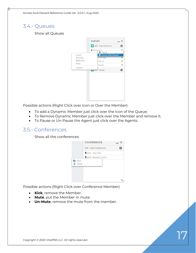#### 3.4.- Queues

Show all Queues



Possible actions (Right Click over Icon or Over the Member)

- To add a Dynamic Member just click over the Icon of the Queue.
- To Remove Dynamic Member just click over the Member and remove it.
- To Pause or Un-Pause the Agent just click over the Agents.

#### 3.5.- Conferences

Show all the conferences



Possible actions (Right Click over Conference Member)

- **Kick**, remove the Member.
- **Mute**, put the Member in mute.
- **Un-Mute**, remove the mute from the member.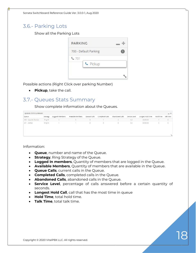#### 3.6.- Parking Lots

Show all the Parking Lots



Possible actions (Right Click over parking Number)

• **Pickup**, take the call.

#### 3.7.- Queues Stats Summary

Show complete information about the Queues.

| QUEUES STATS SUMMARY  |          |                  |                   |              |                 |                 |               |                   |           | $- +$       |
|-----------------------|----------|------------------|-------------------|--------------|-----------------|-----------------|---------------|-------------------|-----------|-------------|
| Queue                 | Strategy | LoggedIn Members | Available Members | Queued Calls | Completed Calls | Abandoned Calls | Service Level | Longest Hold Time | Hold Time | Talk Time   |
| 400 - Soporte Tecnico | Ring All |                  |                   |              |                 |                 | 0.0           | 00:00:00          |           | $\theta$    |
| 401 - Ventas          | Ring All |                  |                   | 0            | $\circ$         | v               | $0.0\,$       | 00:00:00          | o         | $\mathbb O$ |
|                       |          |                  |                   |              |                 |                 |               |                   |           |             |

- **Queue**, number and name of the Queue.
- **Strategy**, Ring Strategy of the Queue.
- **Logged In members**, Quantity of members that are logged in the Queue.
- **Available Members**, Quantity of members that are available in the Queue.
- **Queue Calls**, current calls in the Queue.
- **Completed Calls**, completed calls in the Queue.
- **Abandoned Calls**, abandoned calls in the Queue.
- **Service Level**, percentage of calls answered before a certain quantity of seconds.
- **Longest Hold Call**, call that has the most time in queue
- **Hold Time**, total hold time.
- **Talk Time**, total talk time.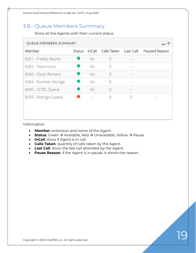#### 3.8.- Queue Members Summary

Show all the Agents with their current status.

| QUEUE MEMBERS SUMMARY |               |                             |                |            |                                                                                                                           |
|-----------------------|---------------|-----------------------------|----------------|------------|---------------------------------------------------------------------------------------------------------------------------|
| Member                | <b>Status</b> | InCall                      | Calls Taken    | Last Call  | Paused Reason                                                                                                             |
| 8261 - Freddy Aburto  |               | No                          | $\mathbf{0}$   | $\geq$     |                                                                                                                           |
| 8263 - Mauro Jiron    |               | No.                         | 0              | 122        |                                                                                                                           |
| 8260 - Oscar Romero   |               | No                          | $\overline{0}$ | $\sim$     |                                                                                                                           |
| 8264 - Rummer Moraga  |               | <b>No</b>                   | $\Omega$       | 55         |                                                                                                                           |
| 8400 - CCTEL Queue    |               | No                          | $\Omega$       | $\sim$ 100 |                                                                                                                           |
| 8255 - Rodrigo Cuadra |               | $\rightarrow$ $\rightarrow$ | $\Omega$       | $\theta$   | $\frac{1}{2} \left( \frac{1}{2} \right) \left( \frac{1}{2} \right) \left( \frac{1}{2} \right) \left( \frac{1}{2} \right)$ |
|                       |               |                             |                |            |                                                                                                                           |
|                       |               |                             |                |            |                                                                                                                           |

- **Member**, extension and name of the Agent.
- **Status**, Green → Available, Red → Unavailable, Yellow → Pause
- **InCall**, show if Agent is in call.
- **Calls Taken**, quantity of calls taken by the Agent.
- **Last Call**, show the last call attended by the Agent.
- **Pause Reason**, if the Agent is in pause, it shows the reason.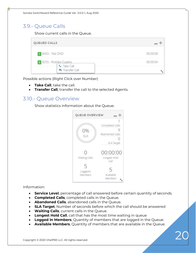#### 3.9.- Queue Calls

Show current calls in the Queue.

| QUEUED CALLS                           |          |
|----------------------------------------|----------|
| 1 8403 - Test DND                      | 00:00:08 |
| 2 8255 - Rodrigo Cuadra<br>G Take Call | 00:00:04 |
| Transfer Call                          |          |

Possible actions (Right Click over Number)

- **Take Call**, take the call.
- **Transfer Call**, transfer the call to the selected Agents.

#### 3.10.- Queue Overview

Show statistics information about the Queue.



- **Service Level**, percentage of call answered before certain quantity of seconds.
- **Completed Calls**, completed calls in the Queue.
- **Abandoned Calls**, abandoned calls in the Queue.
- **SLA Target**, Number of seconds before which the call should be answered
- **Waiting Calls**, current calls in the Queue.
- **Longest Hold Call**, call that has the most time waiting in queue
- **Logged In Members**, Quantity of members that are logged in the Queue.
- **Available Members**, Quantity of members that are available in the Queue.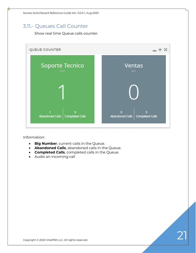#### 3.11.- Queues Call Counter

Show real time Queue calls counter.



- **Big Number**, current calls in the Queue.
- **Abandoned Calls**, abandoned calls in the Queue.
- **Completed Calls**, completed calls in the Queue.
- Audio an incoming call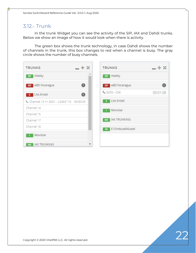#### 3.12.- Trunk

In the trunk Widget you can see the activity of the SIP, IAX and Dahdi trunks. Below we show an image of how it would look when there is activity.

The green box shows the trunk technology, in case Dahdi shows the number of channels in the trunk, this box changes to red when a channel is busy. The gray circle shows the number of busy channels.

| <b>TRUNKS</b>                          | $- + x$                  | <b>TRUNKS</b>          | $+ \times$ |
|----------------------------------------|--------------------------|------------------------|------------|
| Vitelity<br><b>SIP</b>                 |                          | sip Vitelity           |            |
| <b>SIP</b> eBD Nicaragua               | $\bullet$                | SP eBD Nicaragua       |            |
| LNs Enitel<br>5.                       | $\mathbf 0$              | $$8255 - 254$          | 00:01:08   |
| Channel 13 => 8251 - 22492116 00:00:09 |                          | LNs Enitel<br>5        |            |
| Channel 14                             |                          | Movistar               |            |
| Channel 15                             |                          |                        |            |
| Channel 17                             |                          | <b>WX IAX TRUNKING</b> |            |
| Channel 18                             |                          | 30 E10mbutelAlcatel    |            |
| Movistar                               |                          |                        |            |
| <b>IAX TRUNKING</b><br><b>IAX</b>      | $\overline{\phantom{a}}$ |                        |            |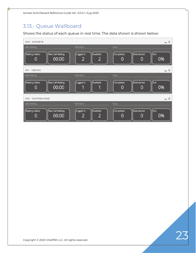### 3.13.- Queue Wallboard

Shows the status of each queue in real time. The data shown is shown below:

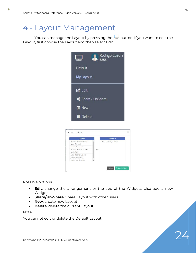### 4.- Layout Management

You can manage the Layout by pressing the  $\Box$  button. If you want to edit the Layout, first choose the Layout and then select Edit.

| Rodrigo Cuadra<br>8255 |
|------------------------|
| Default                |
| My Layout              |
| <b>Z</b> Edit          |
| Share / UnShare        |
| 田 New                  |
| <b>Delete</b>          |

| leonid - Leonid Fainshtein<br>rcuadra - Rodrigo Cuadra<br>eran - Eran Gal<br>mjiron - Mauro Jiron |                          | <b>Remove All</b> |
|---------------------------------------------------------------------------------------------------|--------------------------|-------------------|
|                                                                                                   |                          |                   |
|                                                                                                   |                          |                   |
|                                                                                                   |                          |                   |
|                                                                                                   | antonio - Antonio Montes |                   |
| test1 - Test 1                                                                                    |                          |                   |
| 8258 - Rodrigo Cuadra                                                                             |                          |                   |
| jrivera - Jose Rivera                                                                             |                          |                   |
|                                                                                                   | iguadamuz - Jonathan     |                   |

Possible options:

- **Edit**, change the arrangement or the size of the Widgets, also add a new Widget.
- **Share/Un-Share**, Share Layout with other users.
- **New**, create new Layout
- **Delete**, delete the current Layout.

#### Note:

You cannot edit or delete the Default Layout.

Copyright © 2020 VitalPBX LLC. All rights reserved.